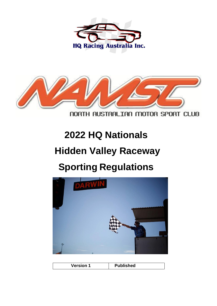



NORTH AUSTRALIAN MOTOR SPORT CLUB

# **2022 HQ Nationals**

## **Hidden Valley Raceway**

## **Sporting Regulations**



| <b>Version 1</b> | <b>Published</b> |
|------------------|------------------|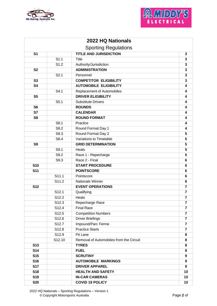



| 2022 HQ Nationals<br><b>Sporting Regulations</b> |                  |                                           |                         |  |
|--------------------------------------------------|------------------|-------------------------------------------|-------------------------|--|
|                                                  |                  |                                           |                         |  |
|                                                  | S <sub>1.1</sub> | Title                                     | 3                       |  |
|                                                  | S1.2             | Authority/Jurisdiction                    | 3                       |  |
| <b>S2</b>                                        |                  | <b>ADMINISTRATION</b>                     | 3                       |  |
|                                                  | S2.1             | Personnel                                 | 3                       |  |
| S3                                               |                  | <b>COMPETITOR ELIGIBILITY</b><br>3        |                         |  |
| <b>S4</b>                                        |                  | <b>AUTOMOBILE ELIGIBILITY</b>             | 4                       |  |
|                                                  | S4.1             | Replacement of Automobiles                | 4                       |  |
| S <sub>5</sub>                                   |                  | <b>DRIVER ELIGIBILITY</b>                 | 4                       |  |
|                                                  | S5.1             | <b>Substitute Drivers</b>                 | 4                       |  |
| S <sub>6</sub>                                   |                  | <b>ROUNDS</b>                             | 4                       |  |
| $\overline{\mathbf{S7}}$                         |                  | <b>CALENDAR</b>                           | 4                       |  |
| S <sub>8</sub>                                   |                  | <b>ROUND FORMAT</b>                       | 4                       |  |
|                                                  | S8.1             | Practice                                  | 4                       |  |
|                                                  | S8.2             | Round Format Day 1                        | 4                       |  |
|                                                  | S8.3             | Round Format Day 2                        | 5                       |  |
|                                                  | S8.4             | Variations to Timetable                   | 5                       |  |
| S <sub>9</sub>                                   |                  | <b>GRID DETERMINATION</b>                 | 5                       |  |
|                                                  | S9.1             | Heats                                     | 5                       |  |
|                                                  | S9.2             | Race 1 - Repecharge                       | $5\phantom{1}$          |  |
|                                                  | S9.3             | Race 2 - Final                            | 6                       |  |
| S10                                              |                  | <b>START PROCEDURE</b>                    | 6                       |  |
| <b>S11</b>                                       |                  | <b>POINTSCORE</b>                         | 6                       |  |
|                                                  | S11.1            | Pointscore                                | 6                       |  |
|                                                  | S11.2            | <b>Nationals Winner</b>                   | 6                       |  |
| $\overline{\text{S}12}$                          |                  | $\overline{7}$<br><b>EVENT OPERATIONS</b> |                         |  |
|                                                  | S12.1            | Qualifying                                | $\overline{\mathbf{r}}$ |  |
|                                                  | S12.2            | Heats                                     | $\overline{7}$          |  |
|                                                  | S12.3            | Repecharge Race                           | 7                       |  |
|                                                  | S12.4            | <b>Final Race</b>                         | 7                       |  |
|                                                  | S12.5            | <b>Competition Numbers</b>                | $\overline{7}$          |  |
|                                                  | S12.6            | <b>Driver Briefings</b>                   | $\overline{\mathbf{r}}$ |  |
|                                                  | S12.7            | Impound/Parc Ferme                        | $\overline{7}$          |  |
|                                                  | S12.8            | <b>Practice Starts</b>                    | $\overline{\mathbf{r}}$ |  |
|                                                  | S12.9            | Pit Lane                                  | 8                       |  |
|                                                  | S12.10           | Removal of Automobiles from the Circuit   | 8                       |  |
| <b>S13</b>                                       |                  | <b>TYRES</b>                              | 8                       |  |
| <b>S14</b>                                       |                  | <b>FUEL</b>                               | 8                       |  |
| <b>S15</b>                                       |                  | <b>SCRUTINY</b>                           | 9                       |  |
| <b>S16</b>                                       |                  | <b>AUTOMOBILE MARKINGS</b>                | $\boldsymbol{9}$        |  |
| <b>S17</b>                                       |                  | <b>DRIVER APPAREL</b>                     | 9                       |  |
| <b>S18</b>                                       |                  | <b>HEALTH AND SAFETY</b>                  | 10                      |  |
| <b>S19</b>                                       |                  | <b>IN-CAR CAMERAS</b>                     | 10                      |  |
| <b>S20</b>                                       |                  | <b>COVID 19 POLICY</b>                    | 10                      |  |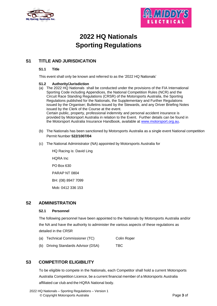



## **2022 HQ Nationals Sporting Regulations**

## **S1 TITLE AND JURISDICATION**

## **S1.1 Title**

This event shall only be known and referred to as the '2022 HQ Nationals'

## **S1.2 Authority/Jurisdiction**

- (a) The 2022 HQ Nationals shall be conducted under the provisions of the FIA International Sporting Code including Appendices, the National Competition Rules (NCR) and the Circuit Race Standing Regulations (CRSR) of the Motorsports Australia, the Sporting Regulations published for the Nationals, the Supplementary and Further Regulations issued by the Organiser; Bulletins issued by the Stewards, and any Driver Briefing Notes issued by the Clerk of the Course at the event. Certain public, property, professional indemnity and personal accident insurance is provided by Motorsport Australia in relation to the Event. Further details can be found in the Motorsport Australia Insurance Handbook, available at [www.motorsport.org.au.](http://www.motorsport.org.au/)
- (b) The Nationals has been sanctioned by Motorsports Australia as a single event National competition Permit Number **522/1007/04**
- (c) The National Administrator (NA) appointed by Motorsports Australia for

HQ Racing is: David Ling HQRA Inc PO Box 630 PARAP NT 0804 BH: (08) 8947 7099 Mob: 0412 336 153

## **S2 ADMINISTRATION**

## **S2.1 Personnel**

The following personnel have been appointed to the Nationals by Motorsports Australia and/or the NA and have the authority to administer the various aspects of these regulations as detailed in the CRSR

- (a) Technical Commissioner (TC) Colin Roper
- (b) Driving Standards Advisor (DSA) TBC

## **S3 COMPETITOR ELIGIBILITY**

To be eligible to compete in the Nationals, each Competitor shall hold a current Motorsports Australia Competition Licence, be a current financial member of a Motorsports Australia affiliated car club and the HQRA National body.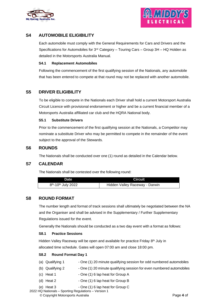



## **S4 AUTOMOBILE ELIGIBILITY**

Each automobile must comply with the General Requirements for Cars and Drivers and the Specifications for Automobiles for  $3<sup>rd</sup>$  Category – Touring Cars – Group  $3H$  – HQ Holden as detailed in the Motorsports Australia Manual.

#### **S4.1 Replacement Automobiles**

Following the commencement of the first qualifying session of the Nationals, any automobile that has been entered to compete at that round may not be replaced with another automobile.

## **S5 DRIVER ELIGIBILITY**

To be eligible to compete in the Nationals each Driver shall hold a current Motorsport Australia Circuit Licence with provisional endorsement or higher and be a current financial member of a Motorsports Australia affiliated car club and the HQRA National body.

#### **S5.1 Substitute Drivers**

Prior to the commencement of the first qualifying session at the Nationals, a Competitor may nominate a substitute Driver who may be permitted to compete in the remainder of the event subject to the approval of the Stewards.

## **S6 ROUNDS**

The Nationals shall be conducted over one (1) round as detailed in the Calendar below.

## **S7 CALENDAR**

The Nationals shall be contested over the following round:

| <b>Date</b>                                 | <b>Circuit</b>                 |
|---------------------------------------------|--------------------------------|
| 8 <sup>th</sup> -10 <sup>th</sup> July 2022 | Hidden Valley Raceway - Darwin |

## **S8 ROUND FORMAT**

The number length and format of track sessions shall ultimately be negotiated between the NA and the Organiser and shall be advised in the Supplementary / Further Supplementary Regulations issued for the event.

Generally the Nationals should be conducted as a two day event with a format as follows:

## **S8.1 Practice Sessions**

Hidden Valley Raceway will be open and available for practice Friday 8<sup>th</sup> July in allocated time schedule. Gates will open 07:00 am and close 18:00 pm.

#### **S8.2 Round Format Day <sup>1</sup>**

- (a) Qualifying 1 One (1) 20 minute qualifying session for odd numbered automobiles
- (b) Qualifying 2 One (1) 20 minute qualifying session for even numbered automobiles
- (c) Heat 1 One (1) 6 lap heat for Group A
- (d) Heat 2 One (1) 6 lap heat for Group B
- (e) Heat 3 One (1) 6 lap heat for Group C

 <sup>2022</sup> HQ Nationals – Sporting Regulations – Version 1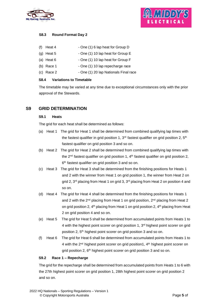



## **S8.3 Round Format Day 2**

| (f) | Heat 4       | - One (1) 6 lap heat for Group D      |
|-----|--------------|---------------------------------------|
|     | $(g)$ Heat 5 | - One (1) 10 lap heat for Group E     |
|     | (a) Heat $6$ | - One (1) 10 lap heat for Group F     |
|     | (b) Race 1   | - One (1) 10 lap repecharge race      |
|     | $(c)$ Race 2 | - One (1) 20 lap Nationals Final race |
|     |              |                                       |

#### **S8.4 Variations to Timetable**

The timetable may be varied at any time due to exceptional circumstances only with the prior approval of the Stewards.

## **S9 GRID DETERMINATION**

## **S9.1 Heats**

The grid for each heat shall be determined as follows:

- (a) Heat 1 The grid for Heat 1 shall be determined from combined qualifying lap times with the fastest qualifier in grid position 1,  $3<sup>rd</sup>$  fastest qualifier on grid position 2,  $5<sup>th</sup>$ fastest qualifier on grid position 3 and so on.
- (b) Heat 2 The grid for Heat 2 shall be determined from combined qualifying lap times with the  $2^{nd}$  fastest qualifier on grid position 1,  $4^{th}$  fastest qualifier on grid position 2, 6 th fastest qualifier on grid position 3 and so on.
- (c) Heat 3 The grid for Heat 3 shall be determined from the finishing positions for Heats 1 and 2 with the winner from Heat 1 on grid position 1, the winner from Heat 2 on grid 2, 3<sup>rd</sup> placing from Heat 1 on grid 3, 3<sup>rd</sup> placing from Heat 2 on position 4 and so on.
- (d) Heat 4 The grid for Heat 4 shall be determined from the finishing positions for Heats 1 and 2 with the 2<sup>nd</sup> placing from Heat 1 on grid position, 2<sup>nd</sup> placing from Heat 2 on grid position 2, 4<sup>th</sup> placing from Heat 1 on grid position 2, 4<sup>th</sup> placing from Heat 2 on grid position 4 and so on.
- (e) Heat 5 The grid for Heat 5 shall be determined from accumulated points from Heats 1 to 4 with the highest point scorer on grid position 1, 3<sup>rd</sup> highest point scorer on grid position 2, 5<sup>th</sup> highest point scorer on grid position 3 and so on.
- (f) Heat 6 The grid for Heat 6 shall be determined from accumulated points from Heats 1 to 4 with the 2<sup>nd</sup> highest point scorer on grid position1, 4<sup>th</sup> highest point scorer on grid position 2, 6<sup>th</sup> highest point scorer on grid position 3 and so on.

## **S9.2 Race 1 – Repecharge**

The grid for the repecharge shall be determined from accumulated points from Heats 1 to 6 with the 27th highest point scorer on grid position 1, 28th highest point scorer on grid position 2 and so on.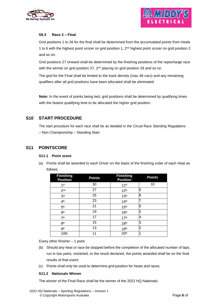



## **S9.3 Race 2 – Final**

Grid positions 1 to 26 for the final shall be determined from the accumulated points from Heats 1 to 6 with the highest point scorer on grid position 1,  $2^{\text{nd}}$  highest point scorer on grid position 2 and so on.

Grid positions 27 onward shall be determined by the finishing positions of the repecharge race with the winner on grid position 27,  $2<sup>nd</sup>$  placing on grid position 28 and so on.

The grid for the Final shall be limited to the track density (max 46 cars) and any remaining qualifiers after all grid positions have been allocated shall be eliminated.

**Note:** In the event of points being tied, grid positions shall be determined by qualifying times with the fastest qualifying time to be allocated the higher grid position.

## **S10 START PROCEDURE**

The start procedure for each race shall be as detailed in the Circuit Race Standing Regulations – Non Championship – Standing Start.

## **S11 POINTSCORE**

## **S11.1 Point score**

(a) Points shall be awarded to each Driver on the basis of the finishing order of each Heat as follows:

| <b>Finishing</b><br><b>Position</b> | <b>Points</b> | <b>Finishing</b><br><b>Position</b> | <b>Points</b> |
|-------------------------------------|---------------|-------------------------------------|---------------|
| 1 <sup>st</sup>                     | 30            | 11 <sup>th</sup>                    | 10            |
| 2 <sub>nd</sub>                     | 27            | 12 <sup>th</sup>                    | 9             |
| 3 <sup>rd</sup>                     | 25            | 13 <sup>th</sup>                    | 8             |
| 4 <sup>th</sup>                     | 23            | 14 <sup>th</sup>                    |               |
| 5 <sup>th</sup>                     | 21            | 15 <sup>th</sup>                    | 6             |
| 6 <sup>th</sup>                     | 19            | 16 <sup>th</sup>                    | 5             |
| 7 <sup>th</sup>                     | 17            | 17 <sup>th</sup>                    | 4             |
| 8 <sup>th</sup>                     | 15            | 18 <sup>th</sup>                    | 3             |
| gth                                 | 13            | 19 <sup>th</sup>                    | 2             |
| 10th                                | 11            | 20 <sup>th</sup>                    | 1             |

Every other finisher – 1 point

- (b) Should any heat or race be stopped before the completion of the allocated number of laps, run in two parts, restarted, or the result declared, the points awarded shall be on the final results of that event.
- (c) Points shall only be used to determine grid position for heats and races.

## **S11.2 Nationals Winner**

The winner of the Final Race shall be the winner of the 2022 HQ Nationals.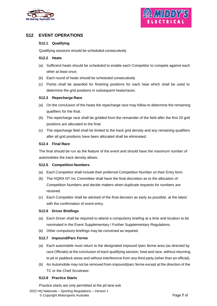



## **S12 EVENT OPERATIONS**

## **S12.1 Qualifying**

Qualifying sessions should be scheduled consecutively

#### **S12.2 Heats**

- (a) Sufficient heats should be scheduled to enable each Competitor to compete against each other at least once.
- (b) Each round of heats should be scheduled consecutively
- (c) Points shall be awarded for finishing positions for each heat which shall be used to determine the grid positions in subsequent heats/races.

## **S12.3 Repecharge Race**

- (a) On the conclusion of the heats the repecharge race may follow to determine the remaining qualifiers for the final.
- (b) The repecharge race shall be gridded from the remainder of the field after the first 20 grid positions are allocated to the final.
- (c) The repecharge field shall be limited to the track grid density and any remaining qualifiers after all grid positions have been allocated shall be eliminated.

#### **S12.4 Final Race**

The final should be run as the feature of the event and should have the maximum number of automobiles the track density allows.

## **S12.5 Competition Numbers**

- (a) Each Competitor shall include their preferred Competition Number on their Entry form.
- (b) The HQRA NT Inc Committee shall have the final discretion as to the allocation of Competition Numbers and decide matters when duplicate requests for numbers are received.
- (c) Each Competitor shall be advised of the final decision as early as possible, at the latest with the confirmation of event entry.

## **S12.6 Driver Briefings**

- (a) Each Driver shall be required to attend a compulsory briefing at a time and location to be nominated in the Event Supplementary / Further Supplementary Regulations.
- (b) Other compulsory briefings may be convened as required.

## **S12.7 Impound/Parc Ferme**

- (a) Each automobile must return to the designated impound /parc ferme area (as directed by race Officials) at the conclusion of each qualifying session, heat and race, without returning to pit or paddock areas and without interference from any third party (other than an official).
- (b) An Automobile may not be removed from impound/parc ferme except at the direction of the TC or the Chief Scrutineer.

## **S12.8 Practice Starts**

Practice starts are only permitted at the pit lane exit.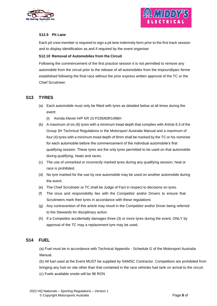



## **S12.9 Pit Lane**

Each pit crew member is required to sign a pit lane indemnity form prior to the first track session and to display identification as and if required by the event organiser

## **S12.10 Removal of Automobiles from the Circuit**

Following the commencement of the first practice session it is not permitted to remove any automobile from the circuit prior to the release of all automobiles from the impound/parc ferme established following the final race without the prior express written approval of the TC or the Chief Scrutineer.

## **S13 TYRES**

- (a) Each automobile must only be fitted with tyres as detailed below at all times during the event:
	- (i) Kenda Klever H/P KR 15 P235/60R1496H
- (b) A maximum of six (6) tyres with a minimum tread depth that complies with Article 8.3 of the Group 3H Technical Regulations in the Motorsport Australia Manual and a maximum of four (4) tyres with a minimum tread depth of 8mm shall be marked by the TC or his nominee for each automobile before the commencement of the individual automobile's first qualifying session. These tyres are the only tyres permitted to be used on that automobile during qualifying, heats and races.
- (c) The use of unmarked or incorrectly marked tyres during any qualifying session, heat or race is prohibited.
- (d) No tyre marked for the use by one automobile may be used on another automobile during the event.
- (e) The Chief Scrutineer or TC shall be Judge of Fact in respect to decisions on tyres.
- (f) The onus and responsibility lies with the Competitor and/or Drivers to ensure that Scrutineers mark their tyres in accordance with these regulations
- (g) Any contravention of this article may result in the Competitor and/or Driver being referred to the Stewards for disciplinary action.
- (h) If a Competitor accidentally damages three (3) or more tyres during the event, ONLY by approval of the TC may a replacement tyre may be used.

## **S14 FUEL**

(a) Fuel must be in accordance with Technical Appendix - Schedule G of the Motorsport Australia Manual.

(b) All fuel used at the Event MUST be supplied by NAMSC Contractor. Competitors are prohibited from bringing any fuel on site other than that contained in the race vehicles fuel tank on arrival to the circuit. (c) Fuels available onsite will be 98 RON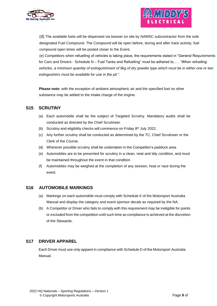



(d) The available fuels will be dispensed via bowser on site by NAMSC subcontractor from the sole designated Fuel Compound. The Compound will be open before, during and after track activity, fuel compound open times will be posted closer to the Event.

(e) Competitors when refuelling of vehicles is taking place, the requirements stated in "General Requirements for Cars and Drivers - Schedule N – Fuel Tanks and Refuelling" must be adhered to….. *"When refuelling vehicles, a minimum quantity of extinguishment of 9kg of dry powder type which must be in either one or two extinguishers must be available for use in the pit."*.

**Please note:** with the exception of ambient atmospheric air and the specified fuel no other substance may be added to the intake charge of the engine.

## **S15 SCRUTINY**

- (a) Each automobile shall be the subject of Targeted Scrutiny. Mandatory audits shall be conducted as directed by the Chief Scrutineer.
- (b) Scrutiny and eligibility checks will commence on Friday 8<sup>th</sup> July 2022.
- (c) Any further scrutiny shall be conducted as determined by the TC, Chief Scrutineer or the Clerk of the Course.
- (d) Wherever possible scrutiny shall be undertaken in the Competitor's paddock area.
- (e) Automobiles are to be presented for scrutiny in a clean, neat and tidy condition, and must be maintained throughout the event in that condition
- (f) Automobiles may be weighed at the completion of any session, heat or race during the event.

## **S16 AUTOMOBILE MARKINGS**

- (a) Markings on each automobile must comply with Schedule K of the Motorsport Australia Manual and display the category and event sponsor decals as required by the NA.
- (b) A Competitor or Driver who fails to comply with this requirement may be ineligible for points or excluded from the competition until such time as compliance is achieved at the discretion of the Stewards.

## **S17 DRIVER APPAREL**

Each Driver must use only apparel in compliance with Schedule D of the Motorsport Australia Manual.